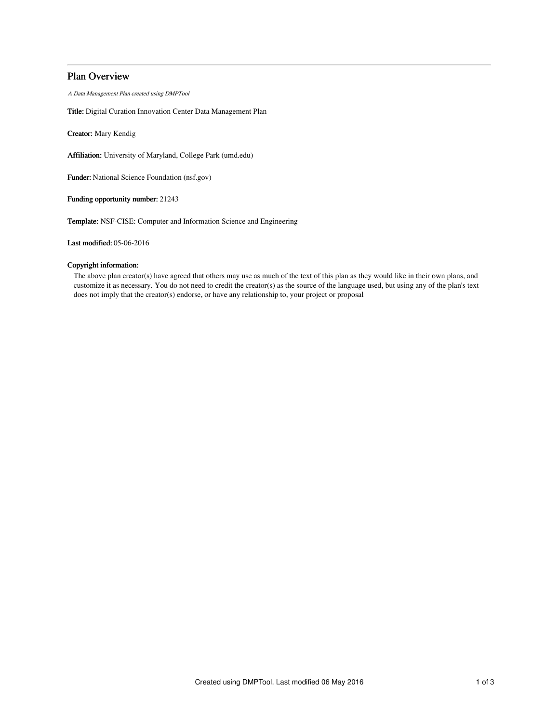# Plan Overview

A Data Management Plan created using DMPTool

Title: Digital Curation Innovation Center Data Management Plan

Creator: Mary Kendig

Affiliation: University of Maryland, College Park (umd.edu)

Funder: National Science Foundation (nsf.gov)

Funding opportunity number: 21243

Template: NSF-CISE: Computer and Information Science and Engineering

Last modified: 05-06-2016

# Copyright information:

The above plan creator(s) have agreed that others may use as much of the text of this plan as they would like in their own plans, and customize it as necessary. You do not need to credit the creator(s) as the source of the language used, but using any of the plan's text does not imply that the creator(s) endorse, or have any relationship to, your project or proposal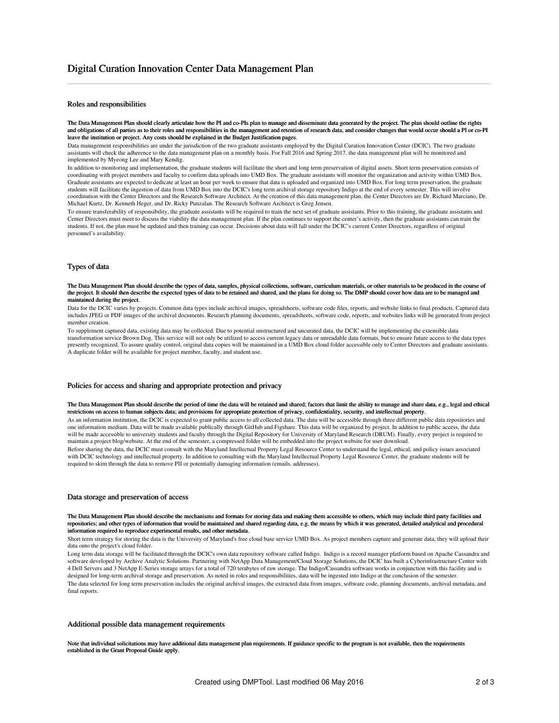### Roles and responsibilities

The Data Management Plan should clearly articulate how the PI and co-PIs plan to manage and disseminate data generated by the project. The plan should outline the rights and obligations of all parties as to their roles and responsibilities in the management and retention of research data, and consider changes that would occur should a PI or co-PI leave the institution or project. Any costs should be explained in the Budget Justification pages.

Data management responsibilities are under the jurisdiction of the two graduate assistants employed by the Digital Curation Innovation Center (DCIC). The two graduate assistants will check the adherence to the data management plan on a monthly basis. For Fall 2016 and Spring 2017, the data management plan will be monitored and implemented by Myeong Lee and Mary Kendig.

In addition to monitoring and implementation, the graduate students will facilitate the short and long term preservation of digital assets. Short term preservation consists of coordinating with project members and faculty to confirm data uploads into UMD Box. The graduate assistants will monitor the organization and activity within UMD Box. Graduate assistants are expected to dedicate at least an hour per week to ensure that data is uploaded and organized into UMD Box. For long term preservation, the graduate students will facilitate the ingestion of data from UMD Box into the DCIC's long term archival storage repository Indigo at the end of every semester. This will involve coordination with the Center Directors and the Research Software Architect. At the creation of this data management plan, the Center Directors are Dr. Richard Marciano, Dr. Michael Kurtz, Dr. Kenneth Heger, and Dr. Ricky Punzalan. The Research Software Architect is Greg Jensen.

To ensure transferability of responsibility, the graduate assistants will be required to train the next set of graduate assistants. Prior to this training, the graduate assistants and Center Directors must meet to discuss the viability the data management plan. If the plan continues to support the center's activity, then the graduate assistants can train the students. If not, the plan must be updated and then training can occur. Decisions about data will fall under the DCIC's current Center Directors, regardless of original personnel's availability.

#### Types of data

The Data Management Plan should describe the types of data, samples, physical collections, software, curriculum materials, or other materials to be produced in the course of the project. It should then describe the expected types of data to be retained and shared, and the plans for doing so. The DMP should cover how data are to be managed and maintained during the project.

Data for the DCIC varies by projects. Common data types include archival images, spreadsheets, software code files, reports, and website links to final products. Captured data includes JPEG or PDF images of the archival documents. Research planning documents, spreadsheets, software code, reports, and websites links will be generated from project member creation.

To supplement captured data, existing data may be collected. Due to potential unstructured and uncurated data, the DCIC will be implementing the extensible data transformation service Brown Dog. This service will not only be utilized to access current legacy data or unreadable data formats, but to ensure future access to the data types presently recognized. To assure quality control, original data copies will be maintained in a UMD Box cloud folder accessible only to Center Directors and graduate assistants. A duplicate folder will be available for project member, faculty, and student use.

#### Policies for access and sharing and appropriate protection and privacy

The Data Management Plan should describe the period of time the data will be retained and shared; factors that limit the ability to manage and share data, e.g., legal and ethical restrictions on access to human subjects data; and provisions for appropriate protection of privacy, confidentiality, security, and intellectual property.

As an information institution, the DCIC is expected to grant public access to all collected data. The data will be accessible through three different public data repositories and one information medium. Data will be made available publically through GitHub and Figshare. This data will be organized by project. In addition to public access, the data will be made accessible to university students and faculty through the Digital Repository for University of Maryland Research (DRUM). Finally, every project is required to maintain a project blog/website. At the end of the semester, a compressed folder will be embedded into the project website for user download.

Before sharing the data, the DCIC must consult with the Maryland Intellectual Property Legal Resource Center to understand the legal, ethical, and policy issues associated with DCIC technology and intellectual property. In addition to consulting with the Maryland Intellectual Property Legal Resource Center, the graduate students will be required to skim through the data to remove PII or potentially damaging information (emails, addresses).

#### Data storage and preservation of access

The Data Management Plan should describe the mechanisms and formats for storing data and making them accessible to others, which may include third party facilities and repositories; and other types of information that would be maintained and shared regarding data, e.g. the means by which it was generated, detailed analytical and procedural information required to reproduce experimental results, and other metadata.

Short term strategy for storing the data is the University of Maryland's free cloud base service UMD Box. As project members capture and generate data, they will upload their data onto the project's cloud folder.

Long term data storage will be facilitated through the DCIC's own data repository software called Indigo. Indigo is a record manager platform based on Apache Cassandra and software developed by Archive Analytic Solutions. Partnering with NetApp Data Management/Cloud Storage Solutions, the DCIC has built a Cyberinfrastructure Center with 4 Dell Servers and 3 NetApp E-Series storage arrays for a total of 720 terabytes of raw storage. The Indigo/Cassandra software works in conjunction with this facility and is designed for long-term archival storage and preservation. As noted in roles and responsibilities, data will be ingested into Indigo at the conclusion of the semester. The data selected for long term preservation includes the original archival images, the extracted data from images, software code, planning documents, archival metadata, and final reports.

### Additional possible data management requirements

Note that individual solicitations may have additional data management plan requirements. If guidance specific to the program is not available, then the requirements established in the Grant Proposal Guide apply.